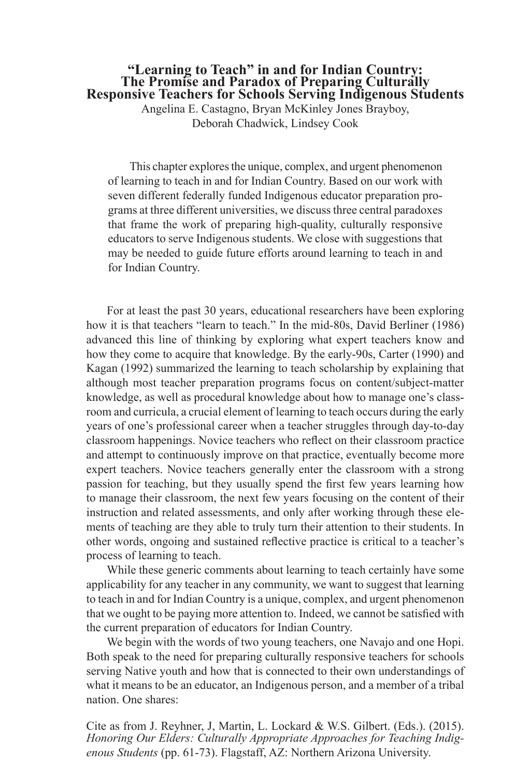# **"Learning to Teach" in and for Indian Country: The Promise and Paradox of Preparing Culturally Responsive Teachers for Schools Serving Indigenous Students**

Angelina E. Castagno, Bryan McKinley Jones Brayboy, Deborah Chadwick, Lindsey Cook

This chapter explores the unique, complex, and urgent phenomenon of learning to teach in and for Indian Country. Based on our work with seven different federally funded Indigenous educator preparation programs at three different universities, we discuss three central paradoxes that frame the work of preparing high-quality, culturally responsive educators to serve Indigenous students. We close with suggestions that may be needed to guide future efforts around learning to teach in and for Indian Country.

For at least the past 30 years, educational researchers have been exploring how it is that teachers "learn to teach." In the mid-80s, David Berliner (1986) advanced this line of thinking by exploring what expert teachers know and how they come to acquire that knowledge. By the early-90s, Carter (1990) and Kagan (1992) summarized the learning to teach scholarship by explaining that although most teacher preparation programs focus on content/subject-matter knowledge, as well as procedural knowledge about how to manage one's classroom and curricula, a crucial element of learning to teach occurs during the early years of one's professional career when a teacher struggles through day-to-day classroom happenings. Novice teachers who refect on their classroom practice and attempt to continuously improve on that practice, eventually become more expert teachers. Novice teachers generally enter the classroom with a strong passion for teaching, but they usually spend the frst few years learning how to manage their classroom, the next few years focusing on the content of their instruction and related assessments, and only after working through these elements of teaching are they able to truly turn their attention to their students. In other words, ongoing and sustained refective practice is critical to a teacher's process of learning to teach.

While these generic comments about learning to teach certainly have some applicability for any teacher in any community, we want to suggest that learning to teach in and for Indian Country is a unique, complex, and urgent phenomenon that we ought to be paying more attention to. Indeed, we cannot be satisfed with the current preparation of educators for Indian Country.

We begin with the words of two young teachers, one Navajo and one Hopi. Both speak to the need for preparing culturally responsive teachers for schools serving Native youth and how that is connected to their own understandings of what it means to be an educator, an Indigenous person, and a member of a tribal nation. One shares:

Cite as from J. Reyhner, J, Martin, L. Lockard & W.S. Gilbert. (Eds.). (2015). *Honoring Our Elders: Culturally Appropriate Approaches for Teaching Indigenous Students* (pp. 61-73). Flagstaff, AZ: Northern Arizona University.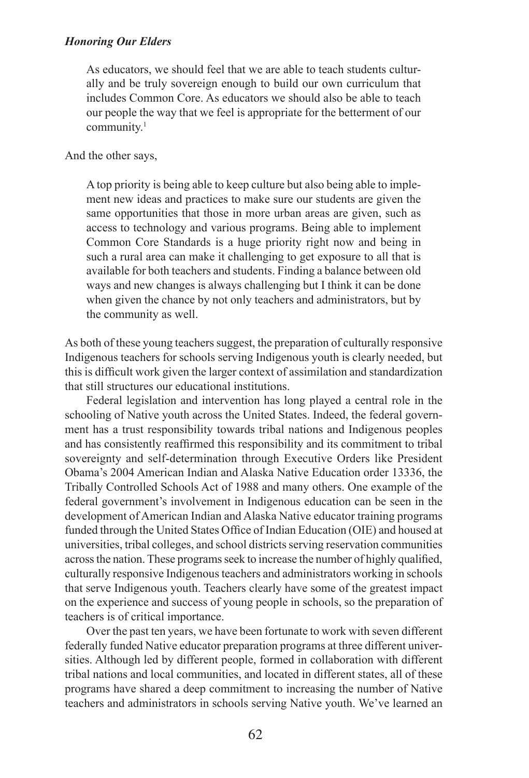As educators, we should feel that we are able to teach students culturally and be truly sovereign enough to build our own curriculum that includes Common Core. As educators we should also be able to teach our people the way that we feel is appropriate for the betterment of our community.<sup>1</sup>

And the other says,

A top priority is being able to keep culture but also being able to implement new ideas and practices to make sure our students are given the same opportunities that those in more urban areas are given, such as access to technology and various programs. Being able to implement Common Core Standards is a huge priority right now and being in such a rural area can make it challenging to get exposure to all that is available for both teachers and students. Finding a balance between old ways and new changes is always challenging but I think it can be done when given the chance by not only teachers and administrators, but by the community as well.

As both of these young teachers suggest, the preparation of culturally responsive Indigenous teachers for schools serving Indigenous youth is clearly needed, but this is diffcult work given the larger context of assimilation and standardization that still structures our educational institutions.

Federal legislation and intervention has long played a central role in the schooling of Native youth across the United States. Indeed, the federal government has a trust responsibility towards tribal nations and Indigenous peoples and has consistently reaffrmed this responsibility and its commitment to tribal sovereignty and self-determination through Executive Orders like President Obama's 2004 American Indian and Alaska Native Education order 13336, the Tribally Controlled Schools Act of 1988 and many others. One example of the federal government's involvement in Indigenous education can be seen in the development of American Indian and Alaska Native educator training programs funded through the United States Office of Indian Education (OIE) and housed at universities, tribal colleges, and school districts serving reservation communities across the nation. These programs seek to increase the number of highly qualifed, culturally responsive Indigenous teachers and administrators working in schools that serve Indigenous youth. Teachers clearly have some of the greatest impact on the experience and success of young people in schools, so the preparation of teachers is of critical importance.

Over the past ten years, we have been fortunate to work with seven different federally funded Native educator preparation programs at three different universities. Although led by different people, formed in collaboration with different tribal nations and local communities, and located in different states, all of these programs have shared a deep commitment to increasing the number of Native teachers and administrators in schools serving Native youth. We've learned an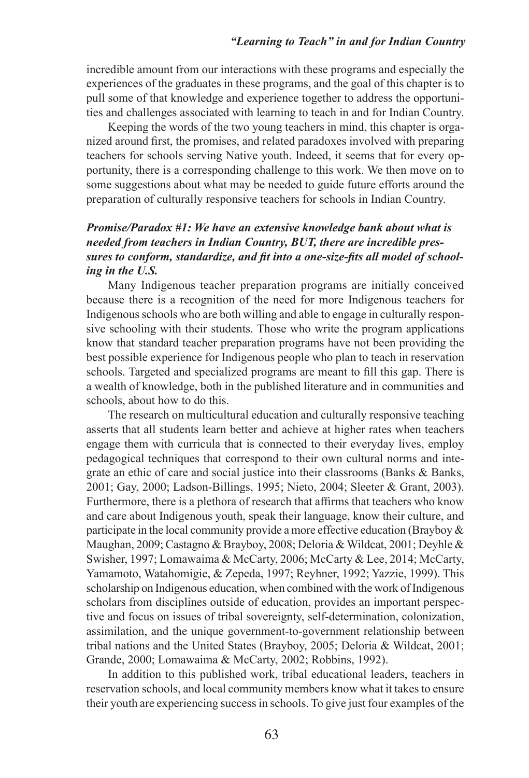#### *"Learning to Teach" in and for Indian Country*

incredible amount from our interactions with these programs and especially the experiences of the graduates in these programs, and the goal of this chapter is to pull some of that knowledge and experience together to address the opportunities and challenges associated with learning to teach in and for Indian Country.

Keeping the words of the two young teachers in mind, this chapter is organized around frst, the promises, and related paradoxes involved with preparing teachers for schools serving Native youth. Indeed, it seems that for every opportunity, there is a corresponding challenge to this work. We then move on to some suggestions about what may be needed to guide future efforts around the preparation of culturally responsive teachers for schools in Indian Country.

## *Promise/Paradox #1: We have an extensive knowledge bank about what is needed from teachers in Indian Country, BUT, there are incredible pressures to conform, standardize, and ft into a one-size-fts all model of schooling in the U.S.*

Many Indigenous teacher preparation programs are initially conceived because there is a recognition of the need for more Indigenous teachers for Indigenous schools who are both willing and able to engage in culturally responsive schooling with their students. Those who write the program applications know that standard teacher preparation programs have not been providing the best possible experience for Indigenous people who plan to teach in reservation schools. Targeted and specialized programs are meant to fll this gap. There is a wealth of knowledge, both in the published literature and in communities and schools, about how to do this.

The research on multicultural education and culturally responsive teaching asserts that all students learn better and achieve at higher rates when teachers engage them with curricula that is connected to their everyday lives, employ pedagogical techniques that correspond to their own cultural norms and integrate an ethic of care and social justice into their classrooms (Banks & Banks, 2001; Gay, 2000; Ladson-Billings, 1995; Nieto, 2004; Sleeter & Grant, 2003). Furthermore, there is a plethora of research that affirms that teachers who know and care about Indigenous youth, speak their language, know their culture, and participate in the local community provide a more effective education (Brayboy  $\&$ Maughan, 2009; Castagno & Brayboy, 2008; Deloria & Wildcat, 2001; Deyhle & Swisher, 1997; Lomawaima & McCarty, 2006; McCarty & Lee, 2014; McCarty, Yamamoto, Watahomigie, & Zepeda, 1997; Reyhner, 1992; Yazzie, 1999). This scholarship on Indigenous education, when combined with the work of Indigenous scholars from disciplines outside of education, provides an important perspective and focus on issues of tribal sovereignty, self-determination, colonization, assimilation, and the unique government-to-government relationship between tribal nations and the United States (Brayboy, 2005; Deloria & Wildcat, 2001; Grande, 2000; Lomawaima & McCarty, 2002; Robbins, 1992).

In addition to this published work, tribal educational leaders, teachers in reservation schools, and local community members know what it takes to ensure their youth are experiencing success in schools. To give just four examples of the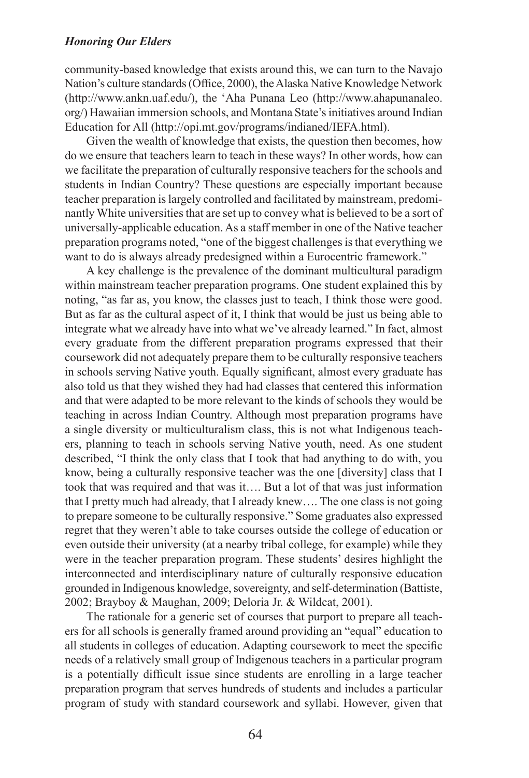community-based knowledge that exists around this, we can turn to the Navajo Nation's culture standards (Office, 2000), the Alaska Native Knowledge Network (http://www.ankn.uaf.edu/), the 'Aha Punana Leo (http://www.ahapunanaleo. org/) Hawaiian immersion schools, and Montana State's initiatives around Indian Education for All (http://opi.mt.gov/programs/indianed/IEFA.html).

Given the wealth of knowledge that exists, the question then becomes, how do we ensure that teachers learn to teach in these ways? In other words, how can we facilitate the preparation of culturally responsive teachers for the schools and students in Indian Country? These questions are especially important because teacher preparation is largely controlled and facilitated by mainstream, predominantly White universities that are set up to convey what is believed to be a sort of universally-applicable education. As a staff member in one of the Native teacher preparation programs noted, "one of the biggest challenges is that everything we want to do is always already predesigned within a Eurocentric framework."

A key challenge is the prevalence of the dominant multicultural paradigm within mainstream teacher preparation programs. One student explained this by noting, "as far as, you know, the classes just to teach, I think those were good. But as far as the cultural aspect of it, I think that would be just us being able to integrate what we already have into what we've already learned." In fact, almost every graduate from the different preparation programs expressed that their coursework did not adequately prepare them to be culturally responsive teachers in schools serving Native youth. Equally signifcant, almost every graduate has also told us that they wished they had had classes that centered this information and that were adapted to be more relevant to the kinds of schools they would be teaching in across Indian Country. Although most preparation programs have a single diversity or multiculturalism class, this is not what Indigenous teachers, planning to teach in schools serving Native youth, need. As one student described, "I think the only class that I took that had anything to do with, you know, being a culturally responsive teacher was the one [diversity] class that I took that was required and that was it…. But a lot of that was just information that I pretty much had already, that I already knew…. The one class is not going to prepare someone to be culturally responsive." Some graduates also expressed regret that they weren't able to take courses outside the college of education or even outside their university (at a nearby tribal college, for example) while they were in the teacher preparation program. These students' desires highlight the interconnected and interdisciplinary nature of culturally responsive education grounded in Indigenous knowledge, sovereignty, and self-determination (Battiste, 2002; Brayboy & Maughan, 2009; Deloria Jr. & Wildcat, 2001).

The rationale for a generic set of courses that purport to prepare all teachers for all schools is generally framed around providing an "equal" education to all students in colleges of education. Adapting coursework to meet the specifc needs of a relatively small group of Indigenous teachers in a particular program is a potentially diffcult issue since students are enrolling in a large teacher preparation program that serves hundreds of students and includes a particular program of study with standard coursework and syllabi. However, given that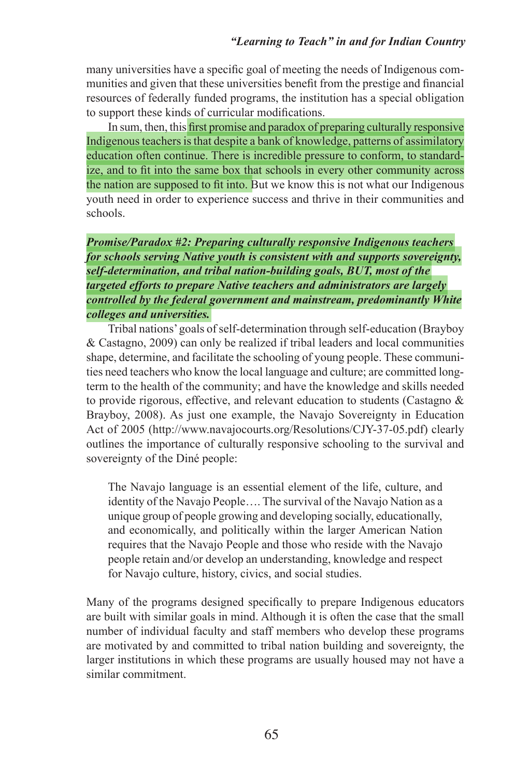many universities have a specifc goal of meeting the needs of Indigenous communities and given that these universities beneft from the prestige and fnancial resources of federally funded programs, the institution has a special obligation to support these kinds of curricular modifcations.

In sum, then, this frst promise and paradox of preparing culturally responsive Indigenous teachers is that despite a bank of knowledge, patterns of assimilatory education often continue. There is incredible pressure to conform, to standardize, and to ft into the same box that schools in every other community across the nation are supposed to ft into. But we know this is not what our Indigenous youth need in order to experience success and thrive in their communities and schools.

*Promise/Paradox #2: Preparing culturally responsive Indigenous teachers for schools serving Native youth is consistent with and supports sovereignty, self-determination, and tribal nation-building goals, BUT, most of the targeted efforts to prepare Native teachers and administrators are largely controlled by the federal government and mainstream, predominantly White colleges and universities.*

Tribal nations' goals of self-determination through self-education (Brayboy & Castagno, 2009) can only be realized if tribal leaders and local communities shape, determine, and facilitate the schooling of young people. These communities need teachers who know the local language and culture; are committed longterm to the health of the community; and have the knowledge and skills needed to provide rigorous, effective, and relevant education to students (Castagno & Brayboy, 2008). As just one example, the Navajo Sovereignty in Education Act of 2005 (http://www.navajocourts.org/Resolutions/CJY-37-05.pdf) clearly outlines the importance of culturally responsive schooling to the survival and sovereignty of the Diné people:

The Navajo language is an essential element of the life, culture, and identity of the Navajo People…. The survival of the Navajo Nation as a unique group of people growing and developing socially, educationally, and economically, and politically within the larger American Nation requires that the Navajo People and those who reside with the Navajo people retain and/or develop an understanding, knowledge and respect for Navajo culture, history, civics, and social studies.

Many of the programs designed specifcally to prepare Indigenous educators are built with similar goals in mind. Although it is often the case that the small number of individual faculty and staff members who develop these programs are motivated by and committed to tribal nation building and sovereignty, the larger institutions in which these programs are usually housed may not have a similar commitment.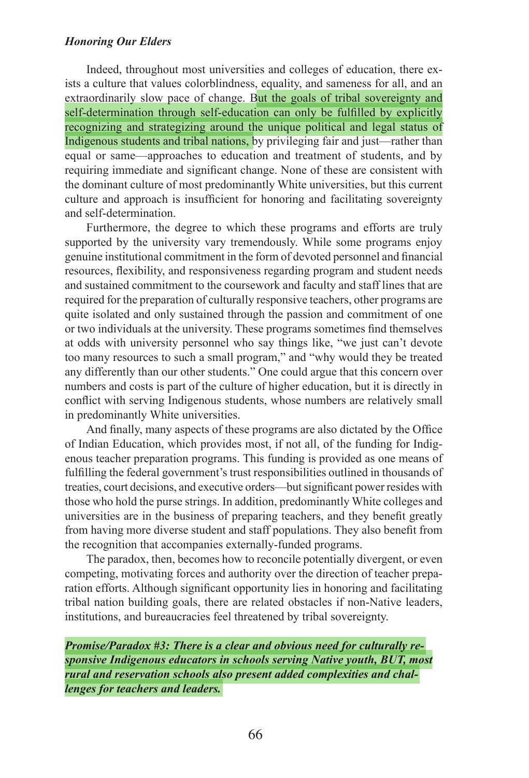Indeed, throughout most universities and colleges of education, there exists a culture that values colorblindness, equality, and sameness for all, and an extraordinarily slow pace of change. But the goals of tribal sovereignty and self-determination through self-education can only be fulflled by explicitly recognizing and strategizing around the unique political and legal status of Indigenous students and tribal nations, by privileging fair and just—rather than equal or same—approaches to education and treatment of students, and by requiring immediate and signifcant change. None of these are consistent with the dominant culture of most predominantly White universities, but this current culture and approach is insufficient for honoring and facilitating sovereignty and self-determination.

Furthermore, the degree to which these programs and efforts are truly supported by the university vary tremendously. While some programs enjoy genuine institutional commitment in the form of devoted personnel and fnancial resources, fexibility, and responsiveness regarding program and student needs and sustained commitment to the coursework and faculty and staff lines that are required for the preparation of culturally responsive teachers, other programs are quite isolated and only sustained through the passion and commitment of one or two individuals at the university. These programs sometimes fnd themselves at odds with university personnel who say things like, "we just can't devote too many resources to such a small program," and "why would they be treated any differently than our other students." One could argue that this concern over numbers and costs is part of the culture of higher education, but it is directly in confict with serving Indigenous students, whose numbers are relatively small in predominantly White universities.

And finally, many aspects of these programs are also dictated by the Office of Indian Education, which provides most, if not all, of the funding for Indigenous teacher preparation programs. This funding is provided as one means of fulflling the federal government's trust responsibilities outlined in thousands of treaties, court decisions, and executive orders—but signifcant power resides with those who hold the purse strings. In addition, predominantly White colleges and universities are in the business of preparing teachers, and they beneft greatly from having more diverse student and staff populations. They also beneft from the recognition that accompanies externally-funded programs.

The paradox, then, becomes how to reconcile potentially divergent, or even competing, motivating forces and authority over the direction of teacher preparation efforts. Although signifcant opportunity lies in honoring and facilitating tribal nation building goals, there are related obstacles if non-Native leaders, institutions, and bureaucracies feel threatened by tribal sovereignty.

*Promise/Paradox #3: There is a clear and obvious need for culturally responsive Indigenous educators in schools serving Native youth, BUT, most rural and reservation schools also present added complexities and challenges for teachers and leaders.*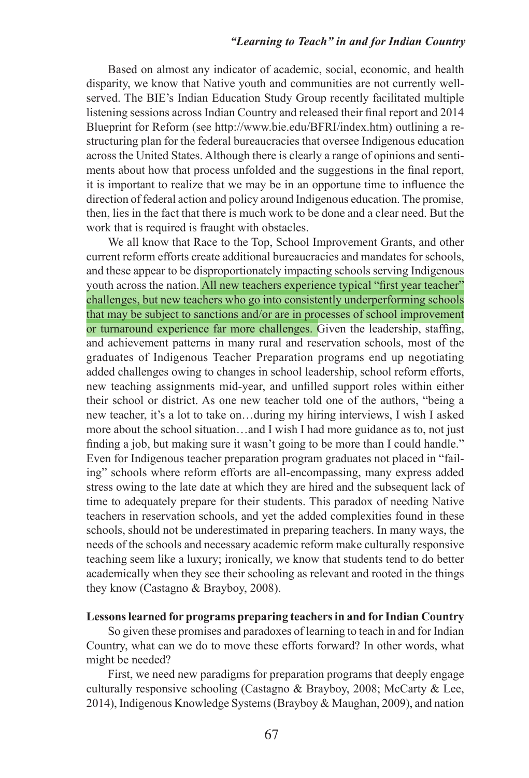#### *"Learning to Teach" in and for Indian Country*

Based on almost any indicator of academic, social, economic, and health disparity, we know that Native youth and communities are not currently wellserved. The BIE's Indian Education Study Group recently facilitated multiple listening sessions across Indian Country and released their fnal report and 2014 Blueprint for Reform (see http://www.bie.edu/BFRI/index.htm) outlining a restructuring plan for the federal bureaucracies that oversee Indigenous education across the United States. Although there is clearly a range of opinions and sentiments about how that process unfolded and the suggestions in the fnal report, it is important to realize that we may be in an opportune time to infuence the direction of federal action and policy around Indigenous education. The promise, then, lies in the fact that there is much work to be done and a clear need. But the work that is required is fraught with obstacles.

We all know that Race to the Top, School Improvement Grants, and other current reform efforts create additional bureaucracies and mandates for schools, and these appear to be disproportionately impacting schools serving Indigenous youth across the nation. All new teachers experience typical "first year teacher" challenges, but new teachers who go into consistently underperforming schools that may be subject to sanctions and/or are in processes of school improvement or turnaround experience far more challenges. Given the leadership, staffng, and achievement patterns in many rural and reservation schools, most of the graduates of Indigenous Teacher Preparation programs end up negotiating added challenges owing to changes in school leadership, school reform efforts, new teaching assignments mid-year, and unflled support roles within either their school or district. As one new teacher told one of the authors, "being a new teacher, it's a lot to take on…during my hiring interviews, I wish I asked more about the school situation…and I wish I had more guidance as to, not just fnding a job, but making sure it wasn't going to be more than I could handle." Even for Indigenous teacher preparation program graduates not placed in "failing" schools where reform efforts are all-encompassing, many express added stress owing to the late date at which they are hired and the subsequent lack of time to adequately prepare for their students. This paradox of needing Native teachers in reservation schools, and yet the added complexities found in these schools, should not be underestimated in preparing teachers. In many ways, the needs of the schools and necessary academic reform make culturally responsive teaching seem like a luxury; ironically, we know that students tend to do better academically when they see their schooling as relevant and rooted in the things they know (Castagno & Brayboy, 2008).

## **Lessons learned for programs preparing teachers in and for Indian Country**

So given these promises and paradoxes of learning to teach in and for Indian Country, what can we do to move these efforts forward? In other words, what might be needed?

First, we need new paradigms for preparation programs that deeply engage culturally responsive schooling (Castagno & Brayboy, 2008; McCarty & Lee, 2014), Indigenous Knowledge Systems (Brayboy & Maughan, 2009), and nation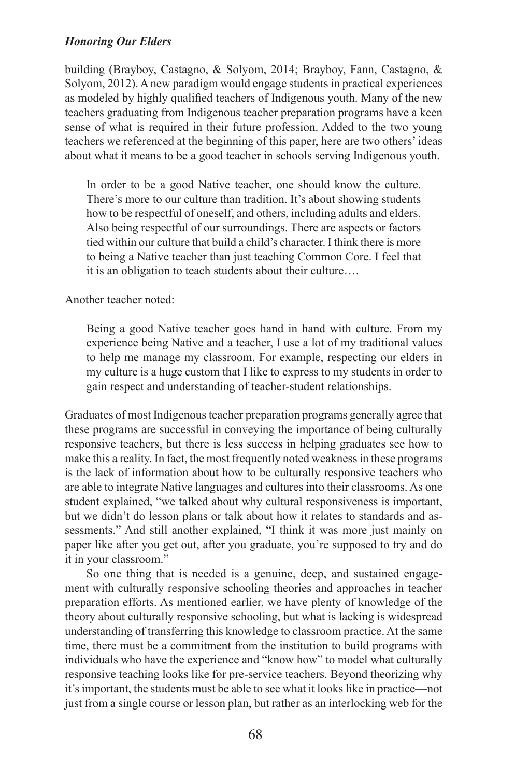building (Brayboy, Castagno, & Solyom, 2014; Brayboy, Fann, Castagno, & Solyom, 2012). A new paradigm would engage students in practical experiences as modeled by highly qualifed teachers of Indigenous youth. Many of the new teachers graduating from Indigenous teacher preparation programs have a keen sense of what is required in their future profession. Added to the two young teachers we referenced at the beginning of this paper, here are two others' ideas about what it means to be a good teacher in schools serving Indigenous youth.

In order to be a good Native teacher, one should know the culture. There's more to our culture than tradition. It's about showing students how to be respectful of oneself, and others, including adults and elders. Also being respectful of our surroundings. There are aspects or factors tied within our culture that build a child's character. I think there is more to being a Native teacher than just teaching Common Core. I feel that it is an obligation to teach students about their culture….

Another teacher noted:

Being a good Native teacher goes hand in hand with culture. From my experience being Native and a teacher, I use a lot of my traditional values to help me manage my classroom. For example, respecting our elders in my culture is a huge custom that I like to express to my students in order to gain respect and understanding of teacher-student relationships.

Graduates of most Indigenous teacher preparation programs generally agree that these programs are successful in conveying the importance of being culturally responsive teachers, but there is less success in helping graduates see how to make this a reality. In fact, the most frequently noted weakness in these programs is the lack of information about how to be culturally responsive teachers who are able to integrate Native languages and cultures into their classrooms. As one student explained, "we talked about why cultural responsiveness is important, but we didn't do lesson plans or talk about how it relates to standards and assessments." And still another explained, "I think it was more just mainly on paper like after you get out, after you graduate, you're supposed to try and do it in your classroom."

So one thing that is needed is a genuine, deep, and sustained engagement with culturally responsive schooling theories and approaches in teacher preparation efforts. As mentioned earlier, we have plenty of knowledge of the theory about culturally responsive schooling, but what is lacking is widespread understanding of transferring this knowledge to classroom practice. At the same time, there must be a commitment from the institution to build programs with individuals who have the experience and "know how" to model what culturally responsive teaching looks like for pre-service teachers. Beyond theorizing why it's important, the students must be able to see what it looks like in practice—not just from a single course or lesson plan, but rather as an interlocking web for the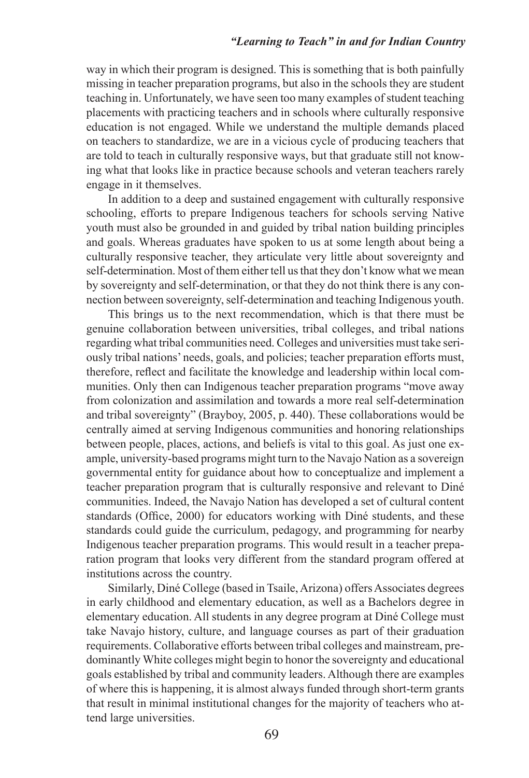#### *"Learning to Teach" in and for Indian Country*

way in which their program is designed. This is something that is both painfully missing in teacher preparation programs, but also in the schools they are student teaching in. Unfortunately, we have seen too many examples of student teaching placements with practicing teachers and in schools where culturally responsive education is not engaged. While we understand the multiple demands placed on teachers to standardize, we are in a vicious cycle of producing teachers that are told to teach in culturally responsive ways, but that graduate still not knowing what that looks like in practice because schools and veteran teachers rarely engage in it themselves.

In addition to a deep and sustained engagement with culturally responsive schooling, efforts to prepare Indigenous teachers for schools serving Native youth must also be grounded in and guided by tribal nation building principles and goals. Whereas graduates have spoken to us at some length about being a culturally responsive teacher, they articulate very little about sovereignty and self-determination. Most of them either tell us that they don't know what we mean by sovereignty and self-determination, or that they do not think there is any connection between sovereignty, self-determination and teaching Indigenous youth.

This brings us to the next recommendation, which is that there must be genuine collaboration between universities, tribal colleges, and tribal nations regarding what tribal communities need. Colleges and universities must take seriously tribal nations' needs, goals, and policies; teacher preparation efforts must, therefore, refect and facilitate the knowledge and leadership within local communities. Only then can Indigenous teacher preparation programs "move away from colonization and assimilation and towards a more real self-determination and tribal sovereignty" (Brayboy, 2005, p. 440). These collaborations would be centrally aimed at serving Indigenous communities and honoring relationships between people, places, actions, and beliefs is vital to this goal. As just one example, university-based programs might turn to the Navajo Nation as a sovereign governmental entity for guidance about how to conceptualize and implement a teacher preparation program that is culturally responsive and relevant to Diné communities. Indeed, the Navajo Nation has developed a set of cultural content standards (Office, 2000) for educators working with Diné students, and these standards could guide the curriculum, pedagogy, and programming for nearby Indigenous teacher preparation programs. This would result in a teacher preparation program that looks very different from the standard program offered at institutions across the country.

Similarly, Diné College (based in Tsaile, Arizona) offers Associates degrees in early childhood and elementary education, as well as a Bachelors degree in elementary education. All students in any degree program at Diné College must take Navajo history, culture, and language courses as part of their graduation requirements. Collaborative efforts between tribal colleges and mainstream, predominantly White colleges might begin to honor the sovereignty and educational goals established by tribal and community leaders. Although there are examples of where this is happening, it is almost always funded through short-term grants that result in minimal institutional changes for the majority of teachers who attend large universities.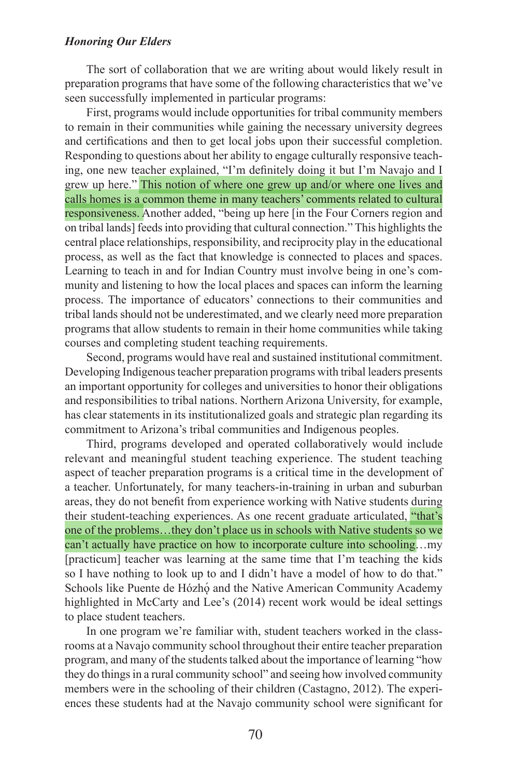The sort of collaboration that we are writing about would likely result in preparation programs that have some of the following characteristics that we've seen successfully implemented in particular programs:

First, programs would include opportunities for tribal community members to remain in their communities while gaining the necessary university degrees and certifcations and then to get local jobs upon their successful completion. Responding to questions about her ability to engage culturally responsive teaching, one new teacher explained, "I'm defnitely doing it but I'm Navajo and I grew up here." This notion of where one grew up and/or where one lives and calls homes is a common theme in many teachers' comments related to cultural responsiveness. Another added, "being up here [in the Four Corners region and on tribal lands] feeds into providing that cultural connection." This highlights the central place relationships, responsibility, and reciprocity play in the educational process, as well as the fact that knowledge is connected to places and spaces. Learning to teach in and for Indian Country must involve being in one's community and listening to how the local places and spaces can inform the learning process. The importance of educators' connections to their communities and tribal lands should not be underestimated, and we clearly need more preparation programs that allow students to remain in their home communities while taking courses and completing student teaching requirements.

Second, programs would have real and sustained institutional commitment. Developing Indigenous teacher preparation programs with tribal leaders presents an important opportunity for colleges and universities to honor their obligations and responsibilities to tribal nations. Northern Arizona University, for example, has clear statements in its institutionalized goals and strategic plan regarding its commitment to Arizona's tribal communities and Indigenous peoples.

Third, programs developed and operated collaboratively would include relevant and meaningful student teaching experience. The student teaching aspect of teacher preparation programs is a critical time in the development of a teacher. Unfortunately, for many teachers-in-training in urban and suburban areas, they do not beneft from experience working with Native students during their student-teaching experiences. As one recent graduate articulated, "that's one of the problems…they don't place us in schools with Native students so we can't actually have practice on how to incorporate culture into schooling…my [practicum] teacher was learning at the same time that I'm teaching the kids so I have nothing to look up to and I didn't have a model of how to do that." Schools like Puente de Hózhó and the Native American Community Academy highlighted in McCarty and Lee's (2014) recent work would be ideal settings to place student teachers.

In one program we're familiar with, student teachers worked in the classrooms at a Navajo community school throughout their entire teacher preparation program, and many of the students talked about the importance of learning "how they do things in a rural community school" and seeing how involved community members were in the schooling of their children (Castagno, 2012). The experiences these students had at the Navajo community school were signifcant for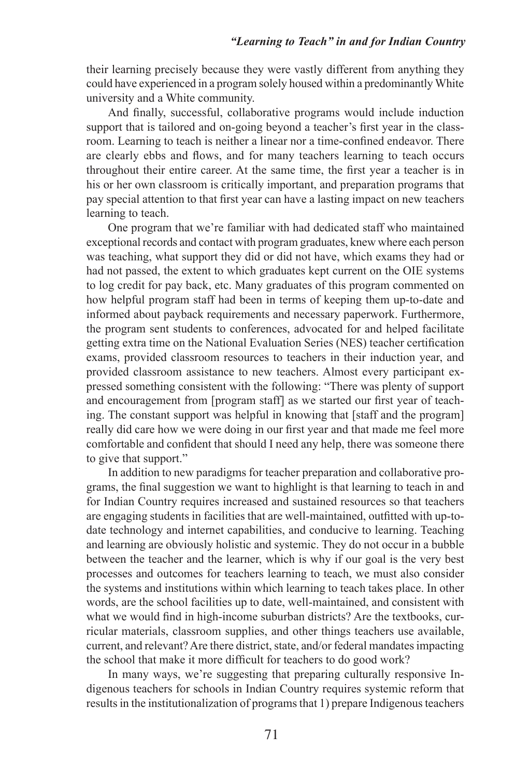their learning precisely because they were vastly different from anything they could have experienced in a program solely housed within a predominantly White university and a White community.

And fnally, successful, collaborative programs would include induction support that is tailored and on-going beyond a teacher's first year in the classroom. Learning to teach is neither a linear nor a time-confned endeavor. There are clearly ebbs and fows, and for many teachers learning to teach occurs throughout their entire career. At the same time, the frst year a teacher is in his or her own classroom is critically important, and preparation programs that pay special attention to that frst year can have a lasting impact on new teachers learning to teach.

One program that we're familiar with had dedicated staff who maintained exceptional records and contact with program graduates, knew where each person was teaching, what support they did or did not have, which exams they had or had not passed, the extent to which graduates kept current on the OIE systems to log credit for pay back, etc. Many graduates of this program commented on how helpful program staff had been in terms of keeping them up-to-date and informed about payback requirements and necessary paperwork. Furthermore, the program sent students to conferences, advocated for and helped facilitate getting extra time on the National Evaluation Series (NES) teacher certifcation exams, provided classroom resources to teachers in their induction year, and provided classroom assistance to new teachers. Almost every participant expressed something consistent with the following: "There was plenty of support and encouragement from [program staff] as we started our frst year of teaching. The constant support was helpful in knowing that [staff and the program] really did care how we were doing in our frst year and that made me feel more comfortable and confdent that should I need any help, there was someone there to give that support."

In addition to new paradigms for teacher preparation and collaborative programs, the fnal suggestion we want to highlight is that learning to teach in and for Indian Country requires increased and sustained resources so that teachers are engaging students in facilities that are well-maintained, outftted with up-todate technology and internet capabilities, and conducive to learning. Teaching and learning are obviously holistic and systemic. They do not occur in a bubble between the teacher and the learner, which is why if our goal is the very best processes and outcomes for teachers learning to teach, we must also consider the systems and institutions within which learning to teach takes place. In other words, are the school facilities up to date, well-maintained, and consistent with what we would fnd in high-income suburban districts? Are the textbooks, curricular materials, classroom supplies, and other things teachers use available, current, and relevant? Are there district, state, and/or federal mandates impacting the school that make it more diffcult for teachers to do good work?

In many ways, we're suggesting that preparing culturally responsive Indigenous teachers for schools in Indian Country requires systemic reform that results in the institutionalization of programs that 1) prepare Indigenous teachers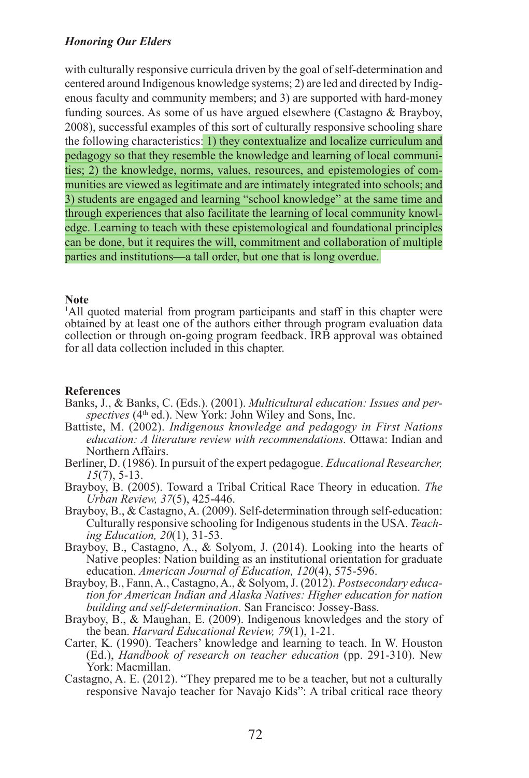with culturally responsive curricula driven by the goal of self-determination and centered around Indigenous knowledge systems; 2) are led and directed by Indigenous faculty and community members; and 3) are supported with hard-money funding sources. As some of us have argued elsewhere (Castagno & Brayboy, 2008), successful examples of this sort of culturally responsive schooling share the following characteristics: 1) they contextualize and localize curriculum and pedagogy so that they resemble the knowledge and learning of local communities; 2) the knowledge, norms, values, resources, and epistemologies of communities are viewed as legitimate and are intimately integrated into schools; and 3) students are engaged and learning "school knowledge" at the same time and through experiences that also facilitate the learning of local community knowledge. Learning to teach with these epistemological and foundational principles can be done, but it requires the will, commitment and collaboration of multiple parties and institutions—a tall order, but one that is long overdue.

## **Note**

<sup>1</sup>All quoted material from program participants and staff in this chapter were obtained by at least one of the authors either through program evaluation data collection or through on-going program feedback. IRB approval was obtained for all data collection included in this chapter.

## **References**

- Banks, J., & Banks, C. (Eds.). (2001). *Multicultural education: Issues and perspectives* (4th ed.). New York: John Wiley and Sons, Inc.
- Battiste, M. (2002). *Indigenous knowledge and pedagogy in First Nations education: A literature review with recommendations.* Ottawa: Indian and Northern Affairs.
- Berliner, D. (1986). In pursuit of the expert pedagogue. *Educational Researcher, 15*(7), 5-13.
- Brayboy, B. (2005). Toward a Tribal Critical Race Theory in education. *The Urban Review, 37*(5), 425-446.
- Brayboy, B., & Castagno, A. (2009). Self-determination through self-education: Culturally responsive schooling for Indigenous students in the USA. *Teaching Education, 20*(1), 31-53.
- Brayboy, B., Castagno, A., & Solyom, J. (2014). Looking into the hearts of Native peoples: Nation building as an institutional orientation for graduate education. *American Journal of Education, 120*(4), 575-596.
- Brayboy, B., Fann, A., Castagno, A., & Solyom, J. (2012). *Postsecondary education for American Indian and Alaska Natives: Higher education for nation building and self-determination*. San Francisco: Jossey-Bass.
- Brayboy, B., & Maughan, E. (2009). Indigenous knowledges and the story of the bean. *Harvard Educational Review, 79*(1), 1-21.
- Carter, K. (1990). Teachers' knowledge and learning to teach. In W. Houston (Ed.), *Handbook of research on teacher education* (pp. 291-310). New York: Macmillan.
- Castagno, A. E. (2012). "They prepared me to be a teacher, but not a culturally responsive Navajo teacher for Navajo Kids": A tribal critical race theory